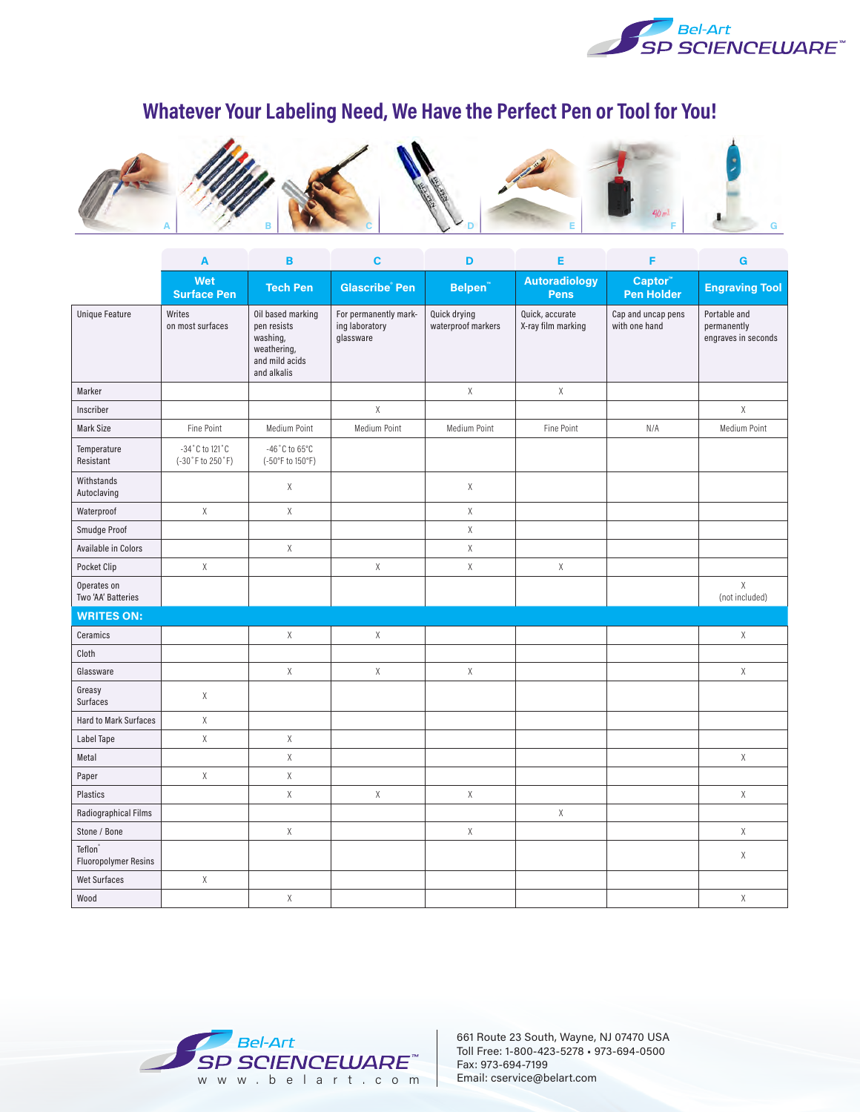

## **Whatever Your Labeling Need, We Have the Perfect Pen or Tool for You!**



|                                        | A                                  | B                                                                                            | C                                                    | D                                  | Е                                     | F                                   | G                                                  |
|----------------------------------------|------------------------------------|----------------------------------------------------------------------------------------------|------------------------------------------------------|------------------------------------|---------------------------------------|-------------------------------------|----------------------------------------------------|
|                                        | Wet<br><b>Surface Pen</b>          | <b>Tech Pen</b>                                                                              | <b>Glascribe</b> Pen                                 | Belpen <sup>"</sup>                | <b>Autoradiology</b><br><b>Pens</b>   | Captor"<br><b>Pen Holder</b>        | <b>Engraving Tool</b>                              |
| <b>Unique Feature</b>                  | Writes<br>on most surfaces         | Oil based marking<br>pen resists<br>washing,<br>weathering,<br>and mild acids<br>and alkalis | For permanently mark-<br>ing laboratory<br>glassware | Quick drying<br>waterproof markers | Quick, accurate<br>X-ray film marking | Cap and uncap pens<br>with one hand | Portable and<br>permanently<br>engraves in seconds |
| Marker                                 |                                    |                                                                                              |                                                      | Χ                                  | $\mathsf X$                           |                                     |                                                    |
| Inscriber                              |                                    |                                                                                              | $\mathsf X$                                          |                                    |                                       |                                     | $\chi$                                             |
| Mark Size                              | Fine Point                         | Medium Point                                                                                 | Medium Point                                         | Medium Point                       | Fine Point                            | N/A                                 | Medium Point                                       |
| Temperature<br>Resistant               | -34°C to 121°C<br>(-30°F to 250°F) | -46 $^{\circ}$ C to 65 $^{\circ}$ C<br>(-50°F to 150°F)                                      |                                                      |                                    |                                       |                                     |                                                    |
| Withstands<br>Autoclaving              |                                    | χ                                                                                            |                                                      | χ                                  |                                       |                                     |                                                    |
| Waterproof                             | Χ                                  | $\chi$                                                                                       |                                                      | Χ                                  |                                       |                                     |                                                    |
| Smudge Proof                           |                                    |                                                                                              |                                                      | Χ                                  |                                       |                                     |                                                    |
| Available in Colors                    |                                    | $\chi$                                                                                       |                                                      | Χ                                  |                                       |                                     |                                                    |
| Pocket Clip                            | χ                                  |                                                                                              | X                                                    | χ                                  | $\chi$                                |                                     |                                                    |
| Operates on<br>Two 'AA' Batteries      |                                    |                                                                                              |                                                      |                                    |                                       |                                     | $\mathsf X$<br>(not included)                      |
| <b>WRITES ON:</b>                      |                                    |                                                                                              |                                                      |                                    |                                       |                                     |                                                    |
| Ceramics                               |                                    | $\chi$                                                                                       | $\chi$                                               |                                    |                                       |                                     | Χ                                                  |
| Cloth                                  |                                    |                                                                                              |                                                      |                                    |                                       |                                     |                                                    |
| Glassware                              |                                    | $\chi$                                                                                       | X                                                    | Χ                                  |                                       |                                     | $\chi$                                             |
| Greasy<br>Surfaces                     | Χ                                  |                                                                                              |                                                      |                                    |                                       |                                     |                                                    |
| <b>Hard to Mark Surfaces</b>           | $\mathsf X$                        |                                                                                              |                                                      |                                    |                                       |                                     |                                                    |
| Label Tape                             | $\mathsf X$                        | $\mathsf X$                                                                                  |                                                      |                                    |                                       |                                     |                                                    |
| Metal                                  |                                    | $\mathsf X$                                                                                  |                                                      |                                    |                                       |                                     | $\mathsf X$                                        |
| Paper                                  | Χ                                  | $\mathsf X$                                                                                  |                                                      |                                    |                                       |                                     |                                                    |
| Plastics                               |                                    | $\chi$                                                                                       | $\mathsf X$                                          | Χ                                  |                                       |                                     | $\mathsf X$                                        |
| Radiographical Films                   |                                    |                                                                                              |                                                      |                                    | $\sf X$                               |                                     |                                                    |
| Stone / Bone                           |                                    | Χ                                                                                            |                                                      | χ                                  |                                       |                                     | $\chi$                                             |
| Teflon®<br><b>Fluoropolymer Resins</b> |                                    |                                                                                              |                                                      |                                    |                                       |                                     | $\mathsf X$                                        |
| <b>Wet Surfaces</b>                    | $\mathsf X$                        |                                                                                              |                                                      |                                    |                                       |                                     |                                                    |
| Wood                                   |                                    | Χ                                                                                            |                                                      |                                    |                                       |                                     | Χ                                                  |



661 Route 23 South, Wayne, NJ 07470 USA Toll Free: 1-800-423-5278 • 973-694-0500 Fax: 973-694-7199